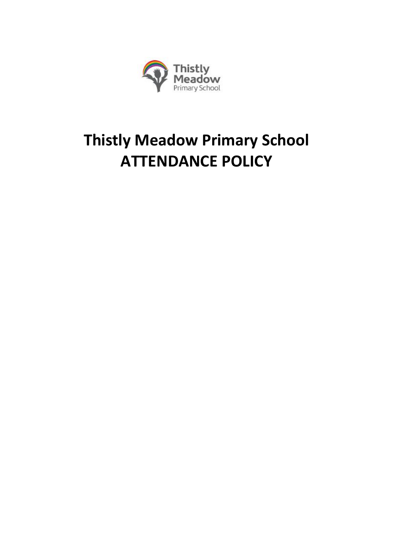

# **Thistly Meadow Primary School ATTENDANCE POLICY**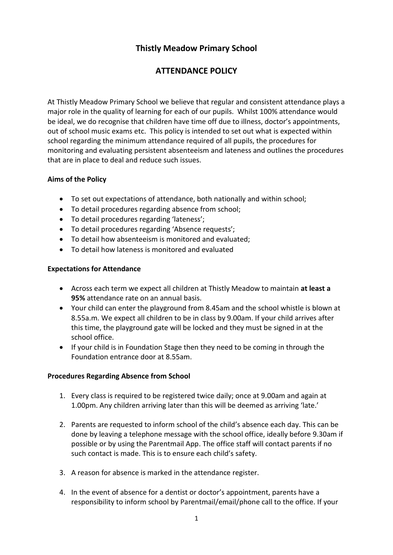# **Thistly Meadow Primary School**

# **ATTENDANCE POLICY**

At Thistly Meadow Primary School we believe that regular and consistent attendance plays a major role in the quality of learning for each of our pupils. Whilst 100% attendance would be ideal, we do recognise that children have time off due to illness, doctor's appointments, out of school music exams etc. This policy is intended to set out what is expected within school regarding the minimum attendance required of all pupils, the procedures for monitoring and evaluating persistent absenteeism and lateness and outlines the procedures that are in place to deal and reduce such issues.

#### **Aims of the Policy**

- To set out expectations of attendance, both nationally and within school;
- To detail procedures regarding absence from school;
- To detail procedures regarding 'lateness';
- To detail procedures regarding 'Absence requests';
- To detail how absenteeism is monitored and evaluated;
- To detail how lateness is monitored and evaluated

#### **Expectations for Attendance**

- Across each term we expect all children at Thistly Meadow to maintain **at least a 95%** attendance rate on an annual basis.
- Your child can enter the playground from 8.45am and the school whistle is blown at 8.55a.m. We expect all children to be in class by 9.00am. If your child arrives after this time, the playground gate will be locked and they must be signed in at the school office.
- If your child is in Foundation Stage then they need to be coming in through the Foundation entrance door at 8.55am.

#### **Procedures Regarding Absence from School**

- 1. Every class is required to be registered twice daily; once at 9.00am and again at 1.00pm. Any children arriving later than this will be deemed as arriving 'late.'
- 2. Parents are requested to inform school of the child's absence each day. This can be done by leaving a telephone message with the school office, ideally before 9.30am if possible or by using the Parentmail App. The office staff will contact parents if no such contact is made. This is to ensure each child's safety.
- 3. A reason for absence is marked in the attendance register.
- 4. In the event of absence for a dentist or doctor's appointment, parents have a responsibility to inform school by Parentmail/email/phone call to the office. If your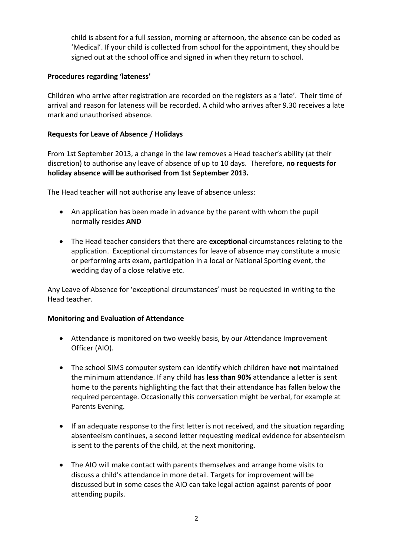child is absent for a full session, morning or afternoon, the absence can be coded as 'Medical'. If your child is collected from school for the appointment, they should be signed out at the school office and signed in when they return to school.

#### **Procedures regarding 'lateness'**

Children who arrive after registration are recorded on the registers as a 'late'. Their time of arrival and reason for lateness will be recorded. A child who arrives after 9.30 receives a late mark and unauthorised absence.

#### **Requests for Leave of Absence / Holidays**

From 1st September 2013, a change in the law removes a Head teacher's ability (at their discretion) to authorise any leave of absence of up to 10 days. Therefore, **no requests for holiday absence will be authorised from 1st September 2013.**

The Head teacher will not authorise any leave of absence unless:

- An application has been made in advance by the parent with whom the pupil normally resides **AND**
- The Head teacher considers that there are **exceptional** circumstances relating to the application. Exceptional circumstances for leave of absence may constitute a music or performing arts exam, participation in a local or National Sporting event, the wedding day of a close relative etc.

Any Leave of Absence for 'exceptional circumstances' must be requested in writing to the Head teacher.

#### **Monitoring and Evaluation of Attendance**

- Attendance is monitored on two weekly basis, by our Attendance Improvement Officer (AIO).
- The school SIMS computer system can identify which children have **not** maintained the minimum attendance. If any child has **less than 90%** attendance a letter is sent home to the parents highlighting the fact that their attendance has fallen below the required percentage. Occasionally this conversation might be verbal, for example at Parents Evening.
- If an adequate response to the first letter is not received, and the situation regarding absenteeism continues, a second letter requesting medical evidence for absenteeism is sent to the parents of the child, at the next monitoring.
- The AIO will make contact with parents themselves and arrange home visits to discuss a child's attendance in more detail. Targets for improvement will be discussed but in some cases the AIO can take legal action against parents of poor attending pupils.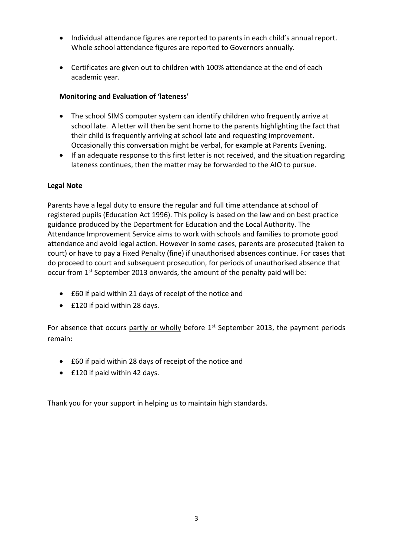- Individual attendance figures are reported to parents in each child's annual report. Whole school attendance figures are reported to Governors annually.
- Certificates are given out to children with 100% attendance at the end of each academic year.

## **Monitoring and Evaluation of 'lateness'**

- The school SIMS computer system can identify children who frequently arrive at school late. A letter will then be sent home to the parents highlighting the fact that their child is frequently arriving at school late and requesting improvement. Occasionally this conversation might be verbal, for example at Parents Evening.
- If an adequate response to this first letter is not received, and the situation regarding lateness continues, then the matter may be forwarded to the AIO to pursue.

### **Legal Note**

Parents have a legal duty to ensure the regular and full time attendance at school of registered pupils (Education Act 1996). This policy is based on the law and on best practice guidance produced by the Department for Education and the Local Authority. The Attendance Improvement Service aims to work with schools and families to promote good attendance and avoid legal action. However in some cases, parents are prosecuted (taken to court) or have to pay a Fixed Penalty (fine) if unauthorised absences continue. For cases that do proceed to court and subsequent prosecution, for periods of unauthorised absence that occur from 1<sup>st</sup> September 2013 onwards, the amount of the penalty paid will be:

- £60 if paid within 21 days of receipt of the notice and
- £120 if paid within 28 days.

For absence that occurs partly or  $wholly$  before  $1<sup>st</sup>$  September 2013, the payment periods remain:

- £60 if paid within 28 days of receipt of the notice and
- £120 if paid within 42 days.

Thank you for your support in helping us to maintain high standards.